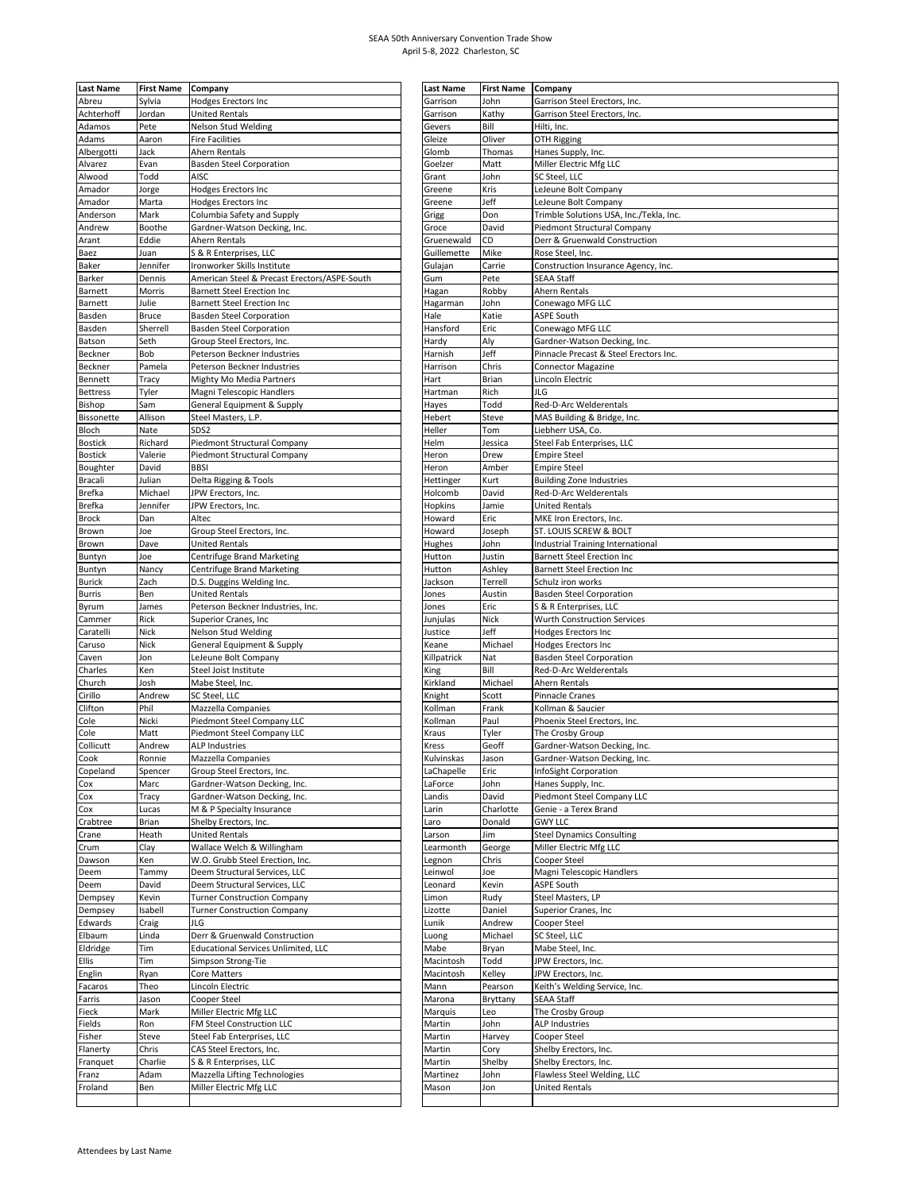## SEAA 50th Anniversary Convention Trade Show April 5-8, 2022 Charleston, SC

| <b>Last Name</b> | <b>First Name</b> | Company                                      | <b>Last Name</b> | <b>First Name</b> | Company                                 |
|------------------|-------------------|----------------------------------------------|------------------|-------------------|-----------------------------------------|
| Abreu            | Sylvia            | <b>Hodges Erectors Inc</b>                   | Garrison         | John              | Garrison Steel Erectors, Inc.           |
| Achterhoff       | Jordan            | <b>United Rentals</b>                        | Garrison         | Kathy             | Garrison Steel Erectors, Inc.           |
| Adamos           | Pete              | <b>Nelson Stud Welding</b>                   | Gevers           | Bill              | Hilti, Inc.                             |
|                  |                   |                                              |                  |                   |                                         |
| Adams            | Aaron             | <b>Fire Facilities</b>                       | Gleize           | Oliver            | OTH Rigging                             |
| Albergotti       | Jack              | Ahern Rentals                                | Glomb            | Thomas            | Hanes Supply, Inc.                      |
| Alvarez          | Evan              | <b>Basden Steel Corporation</b>              | Goelzer          | Matt              | Miller Electric Mfg LLC                 |
| Alwood           | Todd              | AISC                                         | Grant            | John              | SC Steel, LLC                           |
| Amador           |                   |                                              | Greene           | Kris              | LeJeune Bolt Company                    |
|                  | Jorge             | Hodges Erectors Inc                          |                  |                   |                                         |
| Amador           | Marta             | <b>Hodges Erectors Inc</b>                   | Greene           | Jeff              | LeJeune Bolt Company                    |
| Anderson         | Mark              | Columbia Safety and Supply                   | Grigg            | Don               | Trimble Solutions USA, Inc./Tekla, Inc. |
| Andrew           | Boothe            | Gardner-Watson Decking, Inc.                 | Groce            | David             | Piedmont Structural Company             |
| Arant            | Eddie             | Ahern Rentals                                | Gruenewald       | CD                | Derr & Gruenwald Construction           |
|                  | Juan              | S & R Enterprises, LLC                       | Guillemette      | Mike              | Rose Steel, Inc.                        |
| Baez             |                   |                                              |                  |                   |                                         |
| Baker            | Jennifer          | Ironworker Skills Institute                  | Gulajan          | Carrie            | Construction Insurance Agency, Inc.     |
| Barker           | Dennis            | American Steel & Precast Erectors/ASPE-South | Gum              | Pete              | SEAA Staff                              |
| Barnett          | Morris            | <b>Barnett Steel Erection Inc</b>            | Hagan            | Robby             | Ahern Rentals                           |
| Barnett          | Julie             | <b>Barnett Steel Erection Inc</b>            | Hagarman         | John              | Conewago MFG LLC                        |
| Basden           | <b>Bruce</b>      | <b>Basden Steel Corporation</b>              | Hale             | Katie             | <b>ASPE South</b>                       |
|                  |                   |                                              |                  |                   |                                         |
| Basden           | Sherrell          | <b>Basden Steel Corporation</b>              | Hansford         | Eric              | Conewago MFG LLC                        |
| Batson           | Seth              | Group Steel Erectors, Inc.                   | Hardy            | Aly               | Gardner-Watson Decking, Inc.            |
| Beckner          | Bob               | Peterson Beckner Industries                  | Harnish          | Jeff              | Pinnacle Precast & Steel Erectors Inc.  |
| Beckner          | Pamela            | Peterson Beckner Industries                  | Harrison         | Chris             | <b>Connector Magazine</b>               |
| Bennett          | Tracy             | Mighty Mo Media Partners                     | Hart             | Brian             | Lincoln Electric                        |
|                  |                   |                                              |                  |                   |                                         |
| <b>Bettress</b>  | Tyler             | Magni Telescopic Handlers                    | Hartman          | Rich              | JLG                                     |
| Bishop           | Sam               | General Equipment & Supply                   | Hayes            | Todd              | Red-D-Arc Welderentals                  |
| Bissonette       | Allison           | Steel Masters, L.P.                          | Hebert           | Steve             | MAS Building & Bridge, Inc.             |
| Bloch            | Nate              | SDS2                                         | Heller           | Tom               | Liebherr USA, Co.                       |
| <b>Bostick</b>   | Richard           | Piedmont Structural Company                  | Helm             | Jessica           | Steel Fab Enterprises, LLC              |
|                  |                   |                                              |                  |                   |                                         |
| <b>Bostick</b>   | Valerie           | Piedmont Structural Company                  | Heron            | Drew              | <b>Empire Steel</b>                     |
| Boughter         | David             | <b>BBSI</b>                                  | Heron            | Amber             | <b>Empire Steel</b>                     |
| <b>Bracali</b>   | Julian            | Delta Rigging & Tools                        | Hettinger        | Kurt              | <b>Building Zone Industries</b>         |
| <b>Brefka</b>    | Michael           | JPW Erectors, Inc.                           | Holcomb          | David             | Red-D-Arc Welderentals                  |
| <b>Brefka</b>    | Jennifer          | JPW Erectors, Inc                            | Hopkins          | Jamie             | <b>United Rentals</b>                   |
|                  |                   |                                              |                  |                   |                                         |
| <b>Brock</b>     | Dan               | Altec                                        | Howard           | Eric              | MKE Iron Erectors, Inc.                 |
| Brown            | Joe               | Group Steel Erectors, Inc.                   | Howard           | Joseph            | ST. LOUIS SCREW & BOLT                  |
| Brown            | Dave              | <b>United Rentals</b>                        | Hughes           | John              | Industrial Training International       |
| Buntyn           | Joe               | <b>Centrifuge Brand Marketing</b>            | Hutton           | Justin            | <b>Barnett Steel Erection Inc</b>       |
|                  |                   |                                              |                  |                   |                                         |
| Buntyn           | Nancy             | Centrifuge Brand Marketing                   | Hutton           | Ashley            | <b>Barnett Steel Erection Inc</b>       |
| <b>Burick</b>    | Zach              | D.S. Duggins Welding Inc.                    | Jackson          | Terrell           | Schulz iron works                       |
| Burris           | Ben               | United Rentals                               | Jones            | Austin            | <b>Basden Steel Corporation</b>         |
| Byrum            | James             | Peterson Beckner Industries, Inc.            | Jones            | Eric              | S & R Enterprises, LLC                  |
| Cammer           | Rick              | Superior Cranes, Inc                         | Junjulas         | Nick              | Wurth Construction Services             |
| Caratelli        | Nick              | <b>Nelson Stud Welding</b>                   | Justice          | Jeff              | Hodges Erectors Inc                     |
|                  |                   |                                              |                  |                   |                                         |
| Caruso           | Nick              | General Equipment & Supply                   | Keane            | Michael           | Hodges Erectors Inc                     |
| Caven            | Jon               | LeJeune Bolt Company                         | Killpatrick      | Nat               | <b>Basden Steel Corporation</b>         |
| Charles          | Ken               | Steel Joist Institute                        | King             | Bill              | Red-D-Arc Welderentals                  |
| Church           | Josh              | Mabe Steel, Inc.                             | Kirkland         | Michael           | Ahern Rentals                           |
| Cirillo          | Andrew            | SC Steel, LLC                                | Knight           | Scott             | <b>Pinnacle Cranes</b>                  |
|                  |                   |                                              | Kollman          |                   |                                         |
| Clifton          | Phil              | Mazzella Companies                           |                  | Frank             | Kollman & Saucier                       |
| Cole             | Nicki             | Piedmont Steel Company LLC                   | Kollman          | Paul              | Phoenix Steel Erectors, Inc.            |
| Cole             | Matt              | Piedmont Steel Company LLC                   | Kraus            | Tyler             | The Crosby Group                        |
| Collicutt        | Andrew            | <b>ALP Industries</b>                        | Kress            | Geoff             | Gardner-Watson Decking, Inc.            |
| Cook             | Ronnie            | Mazzella Companies                           | Kulvinskas       | Jason             | Gardner-Watson Decking, Inc.            |
|                  |                   | Group Steel Erectors, Inc.                   | LaChapelle       |                   |                                         |
| Copeland         | Spencer           |                                              |                  | Eric              | InfoSight Corporation                   |
| Cox              | Marc              | Gardner-Watson Decking, Inc.                 | LaForce          | John              | Hanes Supply, Inc.                      |
| Cox              | Tracy             | Gardner-Watson Decking, Inc.                 | Landis           | David             | Piedmont Steel Company LLC              |
| Cox              | Lucas             | M & P Specialty Insurance                    | Larin            | Charlotte         | Genie - a Terex Brand                   |
| Crabtree         | Brian             | Shelby Erectors, Inc.                        | Laro             | Donald            | <b>GWY LLC</b>                          |
| Crane            | Heath             | <b>United Rentals</b>                        | Larson           | Jim               | <b>Steel Dynamics Consulting</b>        |
|                  |                   |                                              |                  |                   |                                         |
| Crum             | Clay              | Wallace Welch & Willingham                   | Learmonth        | George            | Miller Electric Mfg LLC                 |
| Dawson           | Ken               | W.O. Grubb Steel Erection, Inc.              | Legnon           | Chris             | Cooper Steel                            |
| Deem             | Tammy             | Deem Structural Services, LLC                | Leinwol          | Joe               | Magni Telescopic Handlers               |
| Deem             | David             | Deem Structural Services, LLC                | Leonard          | Kevin             | <b>ASPE South</b>                       |
| Dempsey          | Kevin             | <b>Turner Construction Company</b>           | Limon            | Rudy              | Steel Masters, LP                       |
|                  |                   |                                              |                  |                   |                                         |
| Dempsey          | Isabell           | <b>Turner Construction Company</b>           | Lizotte          | Daniel            | Superior Cranes, Inc                    |
| Edwards          | Craig             | JLG                                          | Lunik            | Andrew            | Cooper Steel                            |
| Elbaum           | Linda             | Derr & Gruenwald Construction                | Luong            | Michael           | SC Steel, LLC                           |
| Eldridge         | Tim               | Educational Services Unlimited, LLC          | Mabe             | Bryan             | Mabe Steel, Inc.                        |
| Ellis            | Tim               | Simpson Strong-Tie                           | Macintosh        | Todd              | JPW Erectors, Inc.                      |
|                  |                   |                                              |                  |                   |                                         |
| Englin           | Ryan              | Core Matters                                 | Macintosh        | Kelley            | JPW Erectors, Inc.                      |
| Facaros          | Theo              | Lincoln Electric                             | Mann             | Pearson           | Keith's Welding Service, Inc.           |
| Farris           | Jason             | Cooper Steel                                 | Marona           | Bryttany          | <b>SEAA Staff</b>                       |
| Fieck            | Mark              | Miller Electric Mfg LLC                      | Marquis          | Leo               | The Crosby Group                        |
| Fields           | Ron               | FM Steel Construction LLC                    | Martin           | John              | <b>ALP Industries</b>                   |
|                  |                   |                                              |                  |                   |                                         |
| Fisher           | Steve             | Steel Fab Enterprises, LLC                   | Martin           | Harvey            | Cooper Steel                            |
| Flanerty         | Chris             | CAS Steel Erectors, Inc.                     | Martin           | Cory              | Shelby Erectors, Inc.                   |
| Franquet         | Charlie           | S & R Enterprises, LLC                       | Martin           | Shelby            | Shelby Erectors, Inc.                   |
| Franz            | Adam              | Mazzella Lifting Technologies                | Martinez         | John              | Flawless Steel Welding, LLC             |
| Froland          | Ben               | Miller Electric Mfg LLC                      | Mason            | Jon               | <b>United Rentals</b>                   |
|                  |                   |                                              |                  |                   |                                         |
|                  |                   |                                              |                  |                   |                                         |

| <b>Last Name</b>    | <b>First Name</b> | Company                                                             |
|---------------------|-------------------|---------------------------------------------------------------------|
| Garrison            | John              | Garrison Steel Erectors, Inc.                                       |
| Garrison            | Kathy             | Garrison Steel Erectors, Inc.                                       |
| Gevers              | Bill              | Hilti, Inc.                                                         |
| Gleize              | Oliver            | OTH Rigging                                                         |
| Glomb               | Thomas            | Hanes Supply, Inc.                                                  |
| Goelzer<br>Grant    | Matt<br>John      | Miller Electric Mfg LLC<br>SC Steel, LLC                            |
| Greene              | Kris              | LeJeune Bolt Company                                                |
| Greene              | Jeff              | LeJeune Bolt Company                                                |
| Grigg               | Don               | Trimble Solutions USA, Inc./Tekla, Inc.                             |
| Groce               | David             | Piedmont Structural Company                                         |
| Gruenewald          | CD                | Derr & Gruenwald Construction                                       |
| Guillemette         | Mike              | Rose Steel, Inc.                                                    |
| Gulajan             | Carrie            | Construction Insurance Agency, Inc.                                 |
| Gum                 | Pete              | <b>SEAA Staff</b>                                                   |
| Hagan               | Robby             | Ahern Rentals                                                       |
| Hagarman            | John              | Conewago MFG LLC                                                    |
| Hale                | Katie             | ASPE South                                                          |
| Hansford            | Eric              | Conewago MFG LLC                                                    |
| Hardy               | Aly               | Gardner-Watson Decking, Inc.                                        |
| Harnish<br>Harrison | Jeff<br>Chris     | Pinnacle Precast & Steel Erectors Inc.<br><b>Connector Magazine</b> |
| Hart                | Brian             | Lincoln Electric                                                    |
| Hartman             | Rich              | JLG                                                                 |
| Hayes               | Todd              | Red-D-Arc Welderentals                                              |
| Hebert              | Steve             | MAS Building & Bridge, Inc.                                         |
| Heller              | Tom               | Liebherr USA, Co.                                                   |
| Helm                | Jessica           | Steel Fab Enterprises, LLC                                          |
| Heron               | Drew              | <b>Empire Steel</b>                                                 |
| Heron               | Amber             | <b>Empire Steel</b>                                                 |
| Hettinger           | Kurt              | <b>Building Zone Industries</b>                                     |
| Holcomb             | David             | Red-D-Arc Welderentals                                              |
| Hopkins             | Jamie             | <b>United Rentals</b>                                               |
| Howard              | Eric              | MKE Iron Erectors, Inc.                                             |
| Howard              | Joseph            | ST. LOUIS SCREW & BOLT                                              |
| Hughes              | John              | Industrial Training International                                   |
| Hutton              | Justin<br>Ashley  | <b>Barnett Steel Erection Inc</b>                                   |
| Hutton<br>Jackson   | Terrell           | <b>Barnett Steel Erection Inc</b><br>Schulz iron works              |
| Jones               | Austin            | <b>Basden Steel Corporation</b>                                     |
| Jones               | Eric              | S & R Enterprises, LLC                                              |
| Junjulas            | Nick              | Wurth Construction Services                                         |
| Justice             | Jeff              | Hodges Erectors Inc                                                 |
| Keane               | Michael           | Hodges Erectors Inc                                                 |
| Killpatrick         | Nat               | <b>Basden Steel Corporation</b>                                     |
| King                | Bill              | Red-D-Arc Welderentals                                              |
| Kirkland            | Michael           | Ahern Rentals                                                       |
| Knight              | Scott             | Pinnacle Cranes                                                     |
| Kollman             | Frank             | Kollman & Saucier                                                   |
| Kollman             | Paul              | Phoenix Steel Erectors, Inc.                                        |
| Kraus               | Tyler             | The Crosby Group                                                    |
| Kress<br>Kulvinskas | Geoff             | Gardner-Watson Decking, Inc.<br>Gardner-Watson Decking, Inc.        |
| LaChapelle          | Jason<br>Eric     | InfoSight Corporation                                               |
| LaForce             | John              | Hanes Supply, Inc.                                                  |
| Landis              | David             | Piedmont Steel Company LLC                                          |
| Larin               | Charlotte         | Genie - a Terex Brand                                               |
| Laro                | Donald            | <b>GWY LLC</b>                                                      |
| Larson              | Jim               | <b>Steel Dynamics Consulting</b>                                    |
| Learmonth           | George            | Miller Electric Mfg LLC                                             |
| Legnon              | Chris             | Cooper Steel                                                        |
| Leinwol             | Joe               | Magni Telescopic Handlers                                           |
| Leonard             | Kevin             | <b>ASPE South</b>                                                   |
| Limon               | Rudy              | Steel Masters, LP                                                   |
| Lizotte             | Daniel            | Superior Cranes, Inc                                                |
| Lunik               | Andrew            | Cooper Steel                                                        |
| Luong<br>Mabe       | Michael           | SC Steel, LLC                                                       |
| Macintosh           | Bryan<br>Todd     | Mabe Steel, Inc.<br>JPW Erectors, Inc.                              |
| Macintosh           | Kelley            | JPW Erectors, Inc.                                                  |
| Mann                | Pearson           | Keith's Welding Service, Inc.                                       |
| Marona              | Bryttany          | <b>SEAA Staff</b>                                                   |
| Marquis             | Leo               | The Crosby Group                                                    |
| Martin              | John              | <b>ALP Industries</b>                                               |
| Martin              | Harvey            | Cooper Steel                                                        |
| Martin              | Cory              | Shelby Erectors, Inc.                                               |
| Martin              | Shelby            | Shelby Erectors, Inc.                                               |
| Martinez            | John              | Flawless Steel Welding, LLC                                         |
| Mason               | Jon               | <b>United Rentals</b>                                               |
|                     |                   |                                                                     |